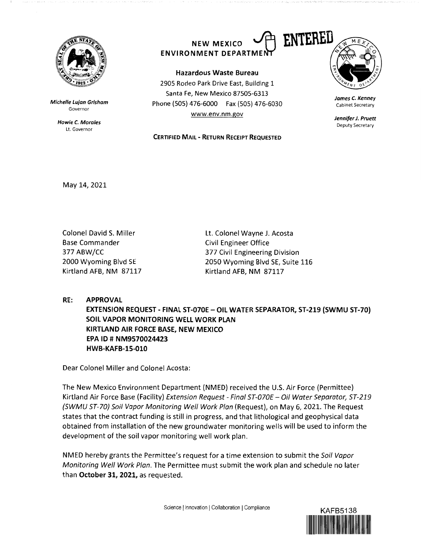

**Michelle Lujan Grisham**  Governor

> **Howie** *C.* **Morales**  Lt. Governor

## **NEW MEXICO ENVIRONMENT DEPARTMI**

**Hazardous Waste Bureau** 2905 Rodeo Park Drive East, Building 1 Santa Fe, New Mexico 87505-6313 Phone (SOS) 476-6000 Fax (SOS) 476-6030 www.env.nm.gov

**CERTIFIED MAIL** - **RETURN RECEIPT REQUESTED** 



**James** *C.* **Kenney**  Cabinet Secretary

**Jennifer J. Pruett**  Deputy Secretary

May 14, 2021

Colonel David S. Miller Base Commander 377 ABW/CC 2000 Wyoming Blvd SE Kirtland AFB, NM 87117 Lt. Colonel Wayne J. Acosta Civil Engineer Office 377 Civil Engineering Division 2050 Wyoming Blvd SE, Suite 116 Kirtland AFB, NM 87117

**RE: APPROVAL** 

**EXTENSION REQUEST - FINAL ST-070E - OIL WATER SEPARATOR, ST-219 (SWMU ST-70) SOIL VAPOR MONITORING WELL WORK PLAN KIRTLAND AIR FORCE BASE, NEW MEXICO EPA ID# NM9570024423 HWB-KAFB-15-010** 

Dear Colonel Miller and Colonel Acosta:

The New Mexico Environment Department (NMED} received the U.S. Air Force (Permittee} Kirtland Air Force Base (Facility) Extension Request - Final ST-070E - Oil Water Separator, ST-219 {SWMU ST-70) Soil Vapor Monitoring Well Work Plan (Request}, on May 6, 2021. The Request states that the contract funding is still in progress, and that lithological and geophysical data obtained from installation of the new groundwater monitoring wells will be used to inform the development of the soil vapor monitoring well work plan.

NMED hereby grants the Permittee's request for a time extension to submit the Soil Vapor Monitoring Well Work Plan. The Permittee must submit the work plan and schedule no later than **October 31, 2021,** as requested.